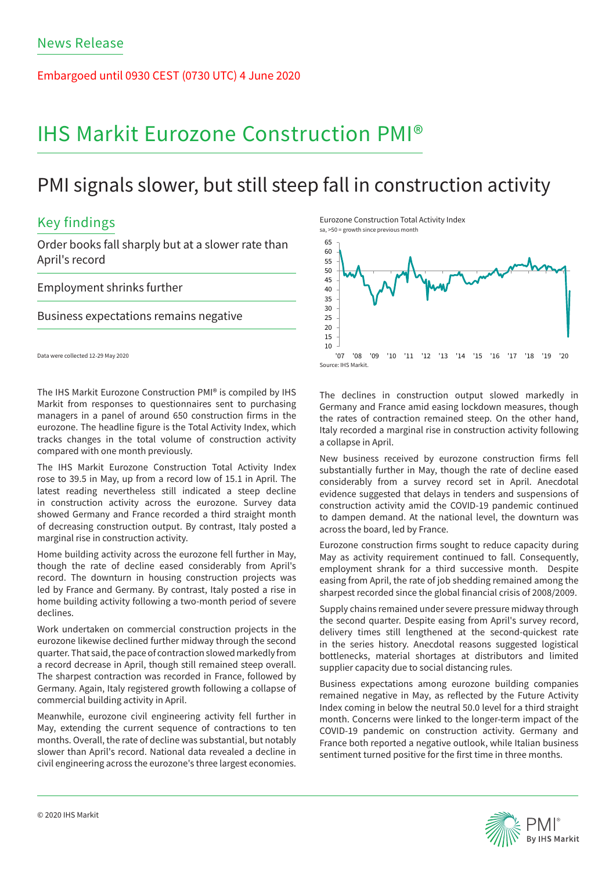Embargoed until 0930 CEST (0730 UTC) 4 June 2020

# IHS Markit Eurozone Construction PMI®

# PMI signals slower, but still steep fall in construction activity

# Key findings

Order books fall sharply but at a slower rate than April's record

### Employment shrinks further

### Business expectations remains negative

Data were collected 12-29 May 2020

The IHS Markit Eurozone Construction PMI® is compiled by IHS Markit from responses to questionnaires sent to purchasing managers in a panel of around 650 construction firms in the eurozone. The headline figure is the Total Activity Index, which tracks changes in the total volume of construction activity compared with one month previously.

The IHS Markit Eurozone Construction Total Activity Index rose to 39.5 in May, up from a record low of 15.1 in April. The latest reading nevertheless still indicated a steep decline in construction activity across the eurozone. Survey data showed Germany and France recorded a third straight month of decreasing construction output. By contrast, Italy posted a marginal rise in construction activity.

Home building activity across the eurozone fell further in May, though the rate of decline eased considerably from April's record. The downturn in housing construction projects was led by France and Germany. By contrast, Italy posted a rise in home building activity following a two-month period of severe declines.

Work undertaken on commercial construction projects in the eurozone likewise declined further midway through the second quarter. That said, the pace of contraction slowed markedly from a record decrease in April, though still remained steep overall. The sharpest contraction was recorded in France, followed by Germany. Again, Italy registered growth following a collapse of commercial building activity in April.

Meanwhile, eurozone civil engineering activity fell further in May, extending the current sequence of contractions to ten months. Overall, the rate of decline was substantial, but notably slower than April's record. National data revealed a decline in civil engineering across the eurozone's three largest economies.

Eurozone Construction Total Activity Index sa, >50 = growth since previous month



The declines in construction output slowed markedly in Germany and France amid easing lockdown measures, though the rates of contraction remained steep. On the other hand, Italy recorded a marginal rise in construction activity following a collapse in April.

New business received by eurozone construction firms fell substantially further in May, though the rate of decline eased considerably from a survey record set in April. Anecdotal evidence suggested that delays in tenders and suspensions of construction activity amid the COVID-19 pandemic continued to dampen demand. At the national level, the downturn was across the board, led by France.

Eurozone construction firms sought to reduce capacity during May as activity requirement continued to fall. Consequently, employment shrank for a third successive month. Despite easing from April, the rate of job shedding remained among the sharpest recorded since the global financial crisis of 2008/2009.

Supply chains remained under severe pressure midway through the second quarter. Despite easing from April's survey record, delivery times still lengthened at the second-quickest rate in the series history. Anecdotal reasons suggested logistical bottlenecks, material shortages at distributors and limited supplier capacity due to social distancing rules.

Business expectations among eurozone building companies remained negative in May, as reflected by the Future Activity Index coming in below the neutral 50.0 level for a third straight month. Concerns were linked to the longer-term impact of the COVID-19 pandemic on construction activity. Germany and France both reported a negative outlook, while Italian business sentiment turned positive for the first time in three months.